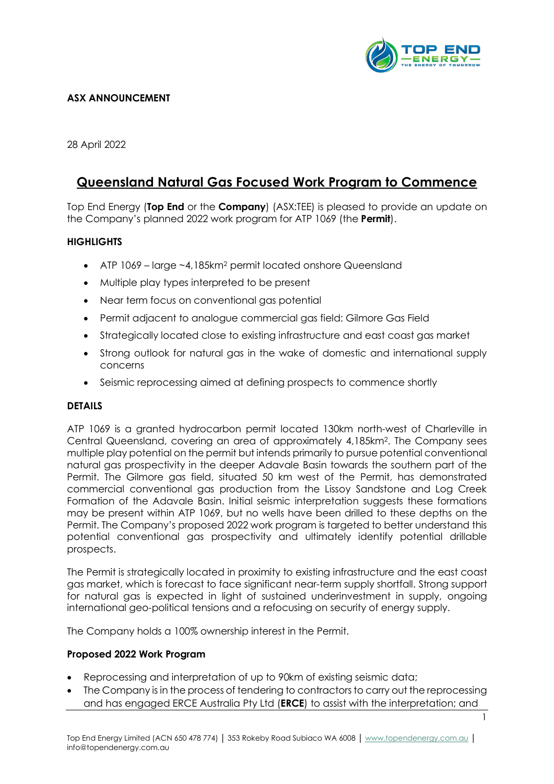

## **ASX ANNOUNCEMENT**

28 April 2022

# **Queensland Natural Gas Focused Work Program to Commence**

Top End Energy (**Top End** or the **Company**) (ASX:TEE) is pleased to provide an update on the Company's planned 2022 work program for ATP 1069 (the **Permit**).

### **HIGHLIGHTS**

- ATP 1069 large ~4,185km<sup>2</sup> permit located onshore Queensland
- Multiple play types interpreted to be present
- Near term focus on conventional gas potential
- Permit adjacent to analogue commercial gas field: Gilmore Gas Field
- Strategically located close to existing infrastructure and east coast gas market
- Strong outlook for natural gas in the wake of domestic and international supply concerns
- Seismic reprocessing aimed at defining prospects to commence shortly

### **DETAILS**

ATP 1069 is a granted hydrocarbon permit located 130km north-west of Charleville in Central Queensland, covering an area of approximately 4,185km2. The Company sees multiple play potential on the permit but intends primarily to pursue potential conventional natural gas prospectivity in the deeper Adavale Basin towards the southern part of the Permit. The Gilmore gas field, situated 50 km west of the Permit, has demonstrated commercial conventional gas production from the Lissoy Sandstone and Log Creek Formation of the Adavale Basin. Initial seismic interpretation suggests these formations may be present within ATP 1069, but no wells have been drilled to these depths on the Permit. The Company's proposed 2022 work program is targeted to better understand this potential conventional gas prospectivity and ultimately identify potential drillable prospects.

The Permit is strategically located in proximity to existing infrastructure and the east coast gas market, which is forecast to face significant near-term supply shortfall. Strong support for natural gas is expected in light of sustained underinvestment in supply, ongoing international geo-political tensions and a refocusing on security of energy supply.

The Company holds a 100% ownership interest in the Permit.

### **Proposed 2022 Work Program**

- Reprocessing and interpretation of up to 90km of existing seismic data;
- The Company is in the process of tendering to contractors to carry out the reprocessing and has engaged ERCE Australia Pty Ltd (**ERCE**) to assist with the interpretation; and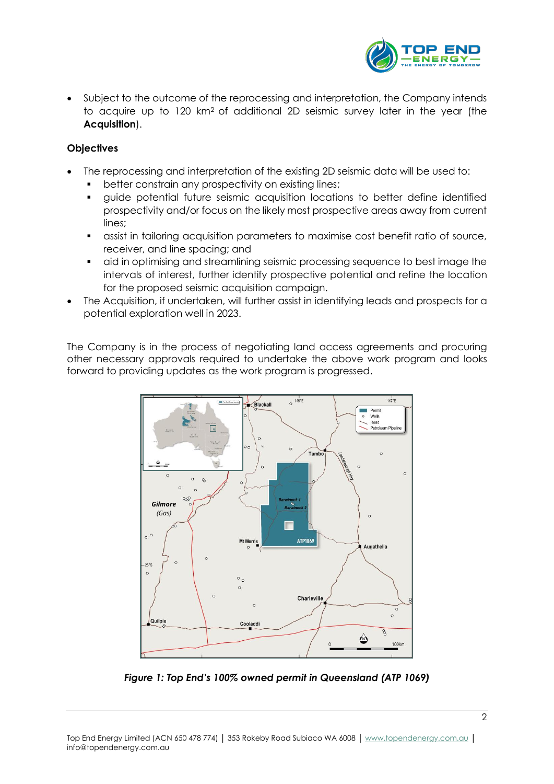

• Subject to the outcome of the reprocessing and interpretation, the Company intends to acquire up to 120 km2 of additional 2D seismic survey later in the year (the **Acquisition**).

### **Objectives**

- The reprocessing and interpretation of the existing 2D seismic data will be used to:
	- better constrain any prospectivity on existing lines;
	- guide potential future seismic acquisition locations to better define identified prospectivity and/or focus on the likely most prospective areas away from current lines;
	- **•** assist in tailoring acquisition parameters to maximise cost benefit ratio of source, receiver, and line spacing; and
	- aid in optimising and streamlining seismic processing sequence to best image the intervals of interest, further identify prospective potential and refine the location for the proposed seismic acquisition campaign.
- The Acquisition, if undertaken, will further assist in identifying leads and prospects for a potential exploration well in 2023.

The Company is in the process of negotiating land access agreements and procuring other necessary approvals required to undertake the above work program and looks forward to providing updates as the work program is progressed.



*Figure 1: Top End's 100% owned permit in Queensland (ATP 1069)*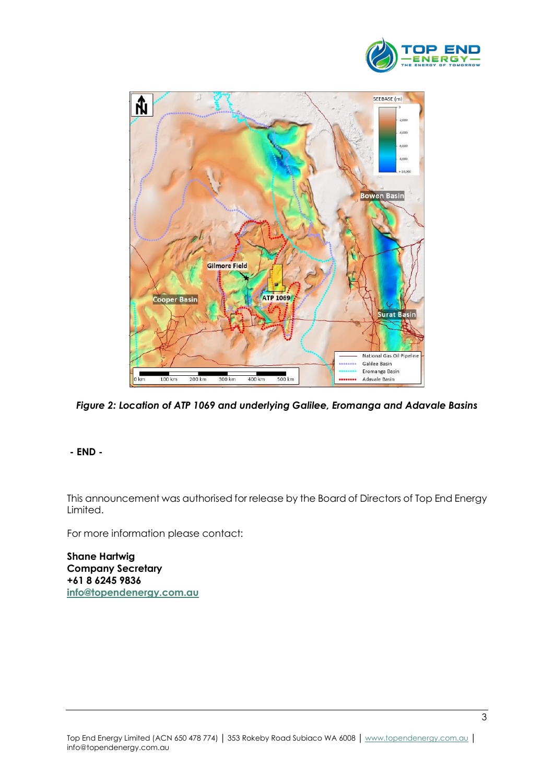



*Figure 2: Location of ATP 1069 and underlying Galilee, Eromanga and Adavale Basins*

### **- END -**

This announcement was authorised for release by the Board of Directors of Top End Energy Limited.

For more information please contact:

**Shane Hartwig Company Secretary +61 8 6245 9836 [info@topendenergy.com.au](mailto:info@topendenergy.com.au)**